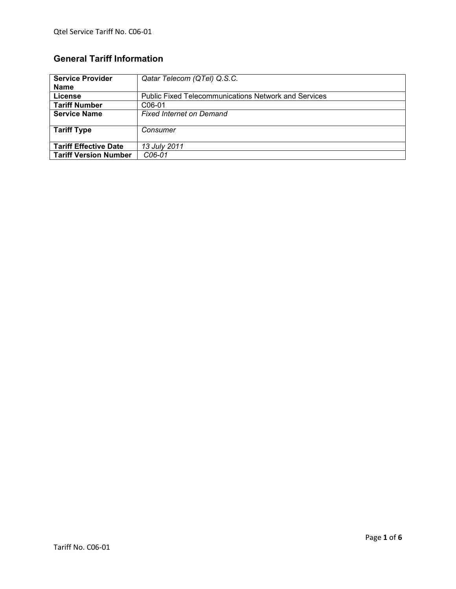# **General Tariff Information**

| <b>Service Provider</b>      | Qatar Telecom (QTel) Q.S.C.                                 |
|------------------------------|-------------------------------------------------------------|
| <b>Name</b>                  |                                                             |
| License                      | <b>Public Fixed Telecommunications Network and Services</b> |
| <b>Tariff Number</b>         | C06-01                                                      |
| <b>Service Name</b>          | <b>Fixed Internet on Demand</b>                             |
| <b>Tariff Type</b>           | Consumer                                                    |
| <b>Tariff Effective Date</b> | 13 July 2011                                                |
| <b>Tariff Version Number</b> | C <sub>06</sub> -01                                         |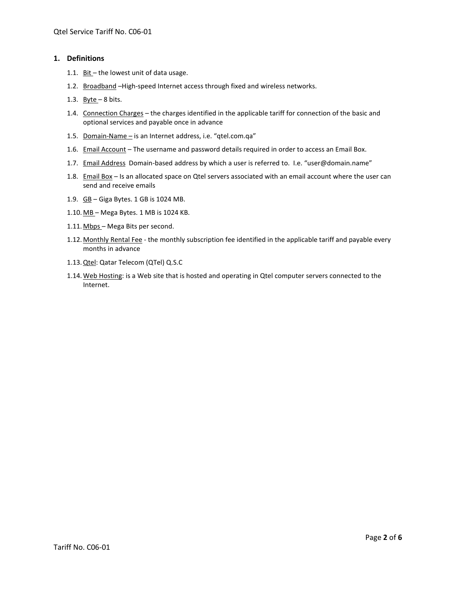## **1. Definitions**

- 1.1. Bit the lowest unit of data usage.
- 1.2. Broadband -High-speed Internet access through fixed and wireless networks.
- 1.3. Byte  $-8$  bits.
- 1.4. Connection Charges the charges identified in the applicable tariff for connection of the basic and optional services and payable once in advance
- 1.5. Domain-Name is an Internet address, i.e. "qtel.com.qa"
- 1.6. Email Account The username and password details required in order to access an Email Box.
- 1.7. Email Address Domain-based address by which a user is referred to. I.e. "user@domain.name"
- 1.8. Email Box Is an allocated space on Qtel servers associated with an email account where the user can send and receive emails
- 1.9. GB Giga Bytes. 1 GB is 1024 MB.
- 1.10. MB Mega Bytes. 1 MB is 1024 KB.
- 1.11. Mbps Mega Bits per second.
- 1.12. Monthly Rental Fee the monthly subscription fee identified in the applicable tariff and payable every months in advance
- 1.13.Qtel: Qatar Telecom (QTel) Q.S.C
- 1.14. Web Hosting: is a Web site that is hosted and operating in Qtel computer servers connected to the Internet.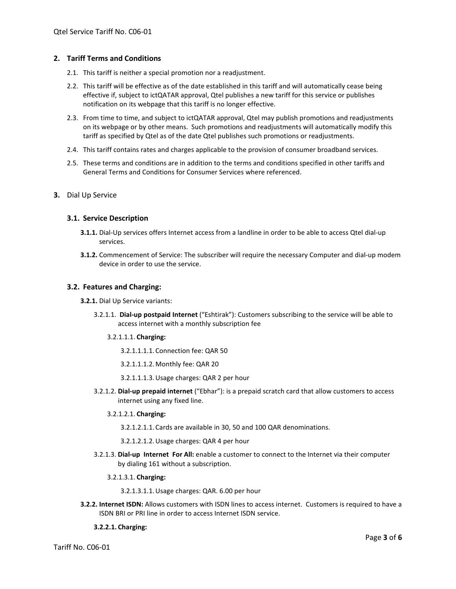## **2. Tariff Terms and Conditions**

- 2.1. This tariff is neither a special promotion nor a readjustment.
- 2.2. This tariff will be effective as of the date established in this tariff and will automatically cease being effective if, subject to ictQATAR approval, Qtel publishes a new tariff for this service or publishes notification on its webpage that this tariff is no longer effective.
- 2.3. From time to time, and subject to ictQATAR approval, Qtel may publish promotions and readjustments on its webpage or by other means. Such promotions and readjustments will automatically modify this tariff as specified by Qtel as of the date Qtel publishes such promotions or readjustments.
- 2.4. This tariff contains rates and charges applicable to the provision of consumer broadband services.
- 2.5. These terms and conditions are in addition to the terms and conditions specified in other tariffs and General Terms and Conditions for Consumer Services where referenced.
- **3.** Dial Up Service

### **3.1. Service Description**

- **3.1.1.** Dial-Up services offers Internet access from a landline in order to be able to access Qtel dial-up services.
- **3.1.2.** Commencement of Service: The subscriber will require the necessary Computer and dial-up modem device in order to use the service.

### **3.2. Features and Charging:**

- **3.2.1.** Dial Up Service variants:
	- 3.2.1.1. **Dial-up postpaid Internet** ("Eshtirak"): Customers subscribing to the service will be able to access internet with a monthly subscription fee
		- 3.2.1.1.1. **Charging:** 
			- 3.2.1.1.1.1. Connection fee: QAR 50
			- 3.2.1.1.1.2.Monthly fee: QAR 20
			- 3.2.1.1.1.3.Usage charges: QAR 2 per hour
	- 3.2.1.2. **Dial-up prepaid internet** ("Ebhar"): is a prepaid scratch card that allow customers to access internet using any fixed line.

#### 3.2.1.2.1. **Charging:**

- 3.2.1.2.1.1. Cards are available in 30, 50 and 100 QAR denominations.
- 3.2.1.2.1.2.Usage charges: QAR 4 per hour
- 3.2.1.3. **Dial-up Internet For All:** enable a customer to connect to the Internet via their computer by dialing 161 without a subscription.

#### 3.2.1.3.1. **Charging:**

3.2.1.3.1.1.Usage charges: QAR. 6.00 per hour

**3.2.2. Internet ISDN:** Allows customers with ISDN lines to access internet. Customers is required to have a ISDN BRI or PRI line in order to access Internet ISDN service.

#### **3.2.2.1. Charging:**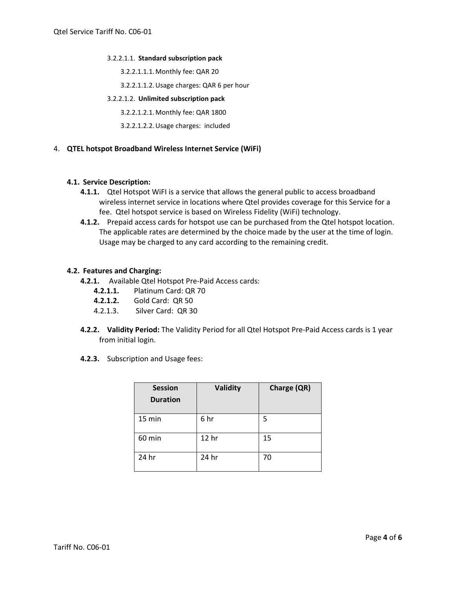#### 3.2.2.1.1. **Standard subscription pack**

- 3.2.2.1.1.1.Monthly fee: QAR 20
- 3.2.2.1.1.2.Usage charges: QAR 6 per hour

## 3.2.2.1.2. **Unlimited subscription pack**

- 3.2.2.1.2.1.Monthly fee: QAR 1800
- 3.2.2.1.2.2.Usage charges: included

## 4. **QTEL hotspot Broadband Wireless Internet Service (WiFi)**

### **4.1. Service Description:**

- **4.1.1.** Qtel Hotspot WiFI is a service that allows the general public to access broadband wireless internet service in locations where Qtel provides coverage for this Service for a fee. Qtel hotspot service is based on Wireless Fidelity (WiFi) technology.
- **4.1.2.** Prepaid access cards for hotspot use can be purchased from the Qtel hotspot location. The applicable rates are determined by the choice made by the user at the time of login. Usage may be charged to any card according to the remaining credit.

## **4.2. Features and Charging:**

- **4.2.1.** Available Qtel Hotspot Pre-Paid Access cards:
	- **4.2.1.1.** Platinum Card: QR 70
	- **4.2.1.2.** Gold Card: QR 50
	- 4.2.1.3. Silver Card: QR 30
- **4.2.2. Validity Period:** The Validity Period for all Qtel Hotspot Pre-Paid Access cards is 1 year from initial login.
- **4.2.3.** Subscription and Usage fees:

| <b>Session</b><br><b>Duration</b> | <b>Validity</b> | Charge (QR) |
|-----------------------------------|-----------------|-------------|
| 15 min                            | 6 hr            | 5           |
| 60 min                            | 12 hr           | 15          |
| 24 hr                             | 24 hr           | 70          |